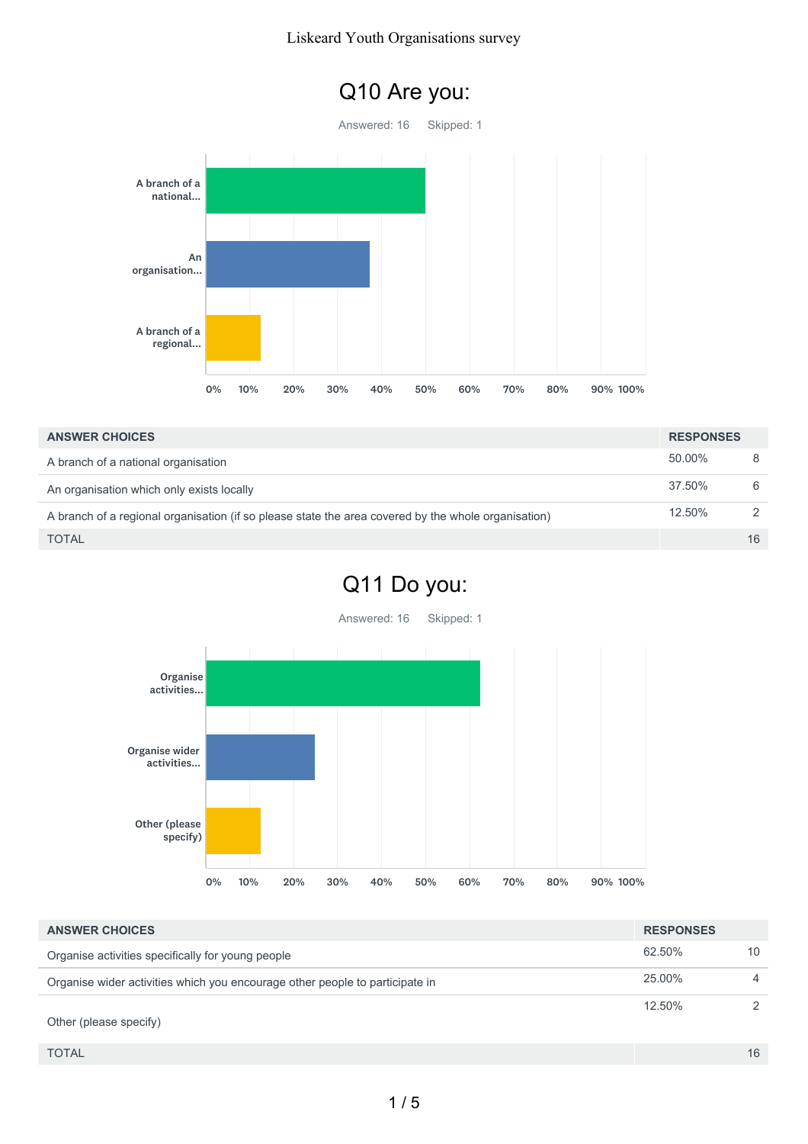#### Liskeard Youth Organisations survey



| <b>ANSWER CHOICES</b>                                                                               | <b>RESPONSES</b> |               |
|-----------------------------------------------------------------------------------------------------|------------------|---------------|
| A branch of a national organisation                                                                 | 50.00%           |               |
| An organisation which only exists locally                                                           | 37.50%           | 6             |
| A branch of a regional organisation (if so please state the area covered by the whole organisation) | 12.50%           | $\mathcal{D}$ |
| <b>TOTAL</b>                                                                                        |                  | 16            |

# Q11 Do you:

Answered: 16 Skipped: 1



| <b>ANSWER CHOICES</b>                                                        | <b>RESPONSES</b> |    |
|------------------------------------------------------------------------------|------------------|----|
| Organise activities specifically for young people                            | 62.50%           | 10 |
| Organise wider activities which you encourage other people to participate in | 25.00%           | 4  |
| Other (please specify)                                                       | 12.50%           |    |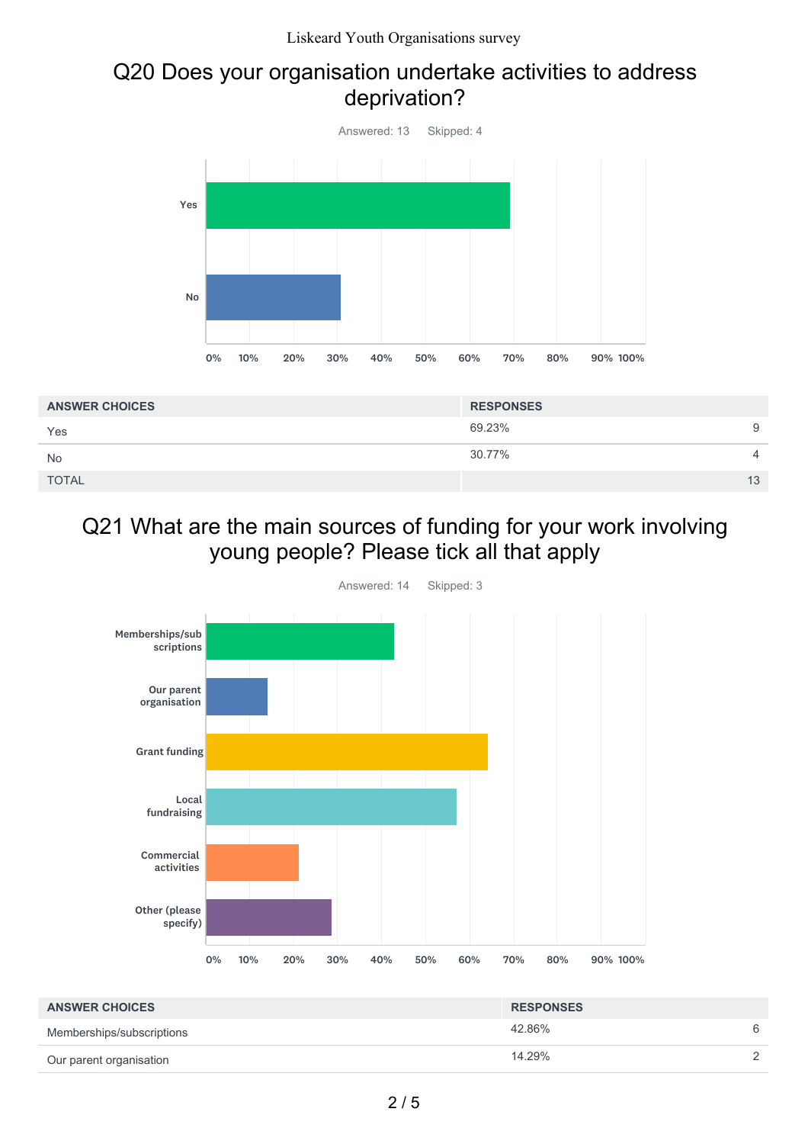#### Q20 Does your organisation undertake activities to address deprivation?



| <b>ANSWER CHOICES</b> | <b>RESPONSES</b> |                |
|-----------------------|------------------|----------------|
| Yes                   | 69.23%           | 9              |
| <b>No</b>             | 30.77%           | $\overline{4}$ |
| <b>TOTAL</b>          |                  | 13             |

### Q21 What are the main sources of funding for your work involving young people? Please tick all that apply



| <b>ANSWER CHOICES</b>     | <b>RESPONSES</b> |          |
|---------------------------|------------------|----------|
| Memberships/subscriptions | 42.86%           | 6        |
| Our parent organisation   | 14.29%           | $\Omega$ |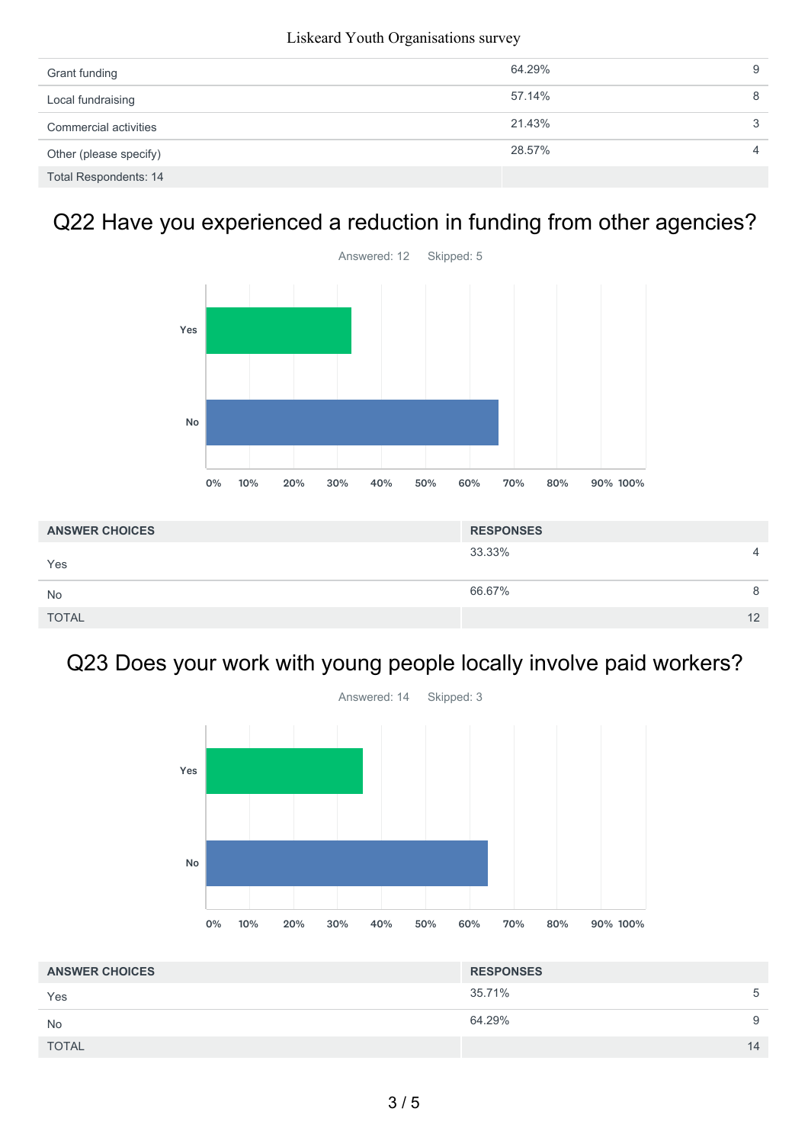| Grant funding                | 64.29% | 9 |
|------------------------------|--------|---|
| Local fundraising            | 57.14% | 8 |
| Commercial activities        | 21.43% | ર |
| Other (please specify)       | 28.57% | 4 |
| <b>Total Respondents: 14</b> |        |   |

# Q22 Have you experienced a reduction in funding from other agencies?



| <b>ANSWER CHOICES</b> | <b>RESPONSES</b> |
|-----------------------|------------------|
| Yes                   | 33.33%<br>4      |
| <b>No</b>             | 66.67%<br>8      |
| <b>TOTAL</b>          | 12               |

## Q23 Does your work with young people locally involve paid workers?



| <b>ANSWER CHOICES</b> | <b>RESPONSES</b> |    |
|-----------------------|------------------|----|
| Yes                   | 35.71%           | 5  |
| <b>No</b>             | 64.29%           | 9  |
| <b>TOTAL</b>          |                  | 14 |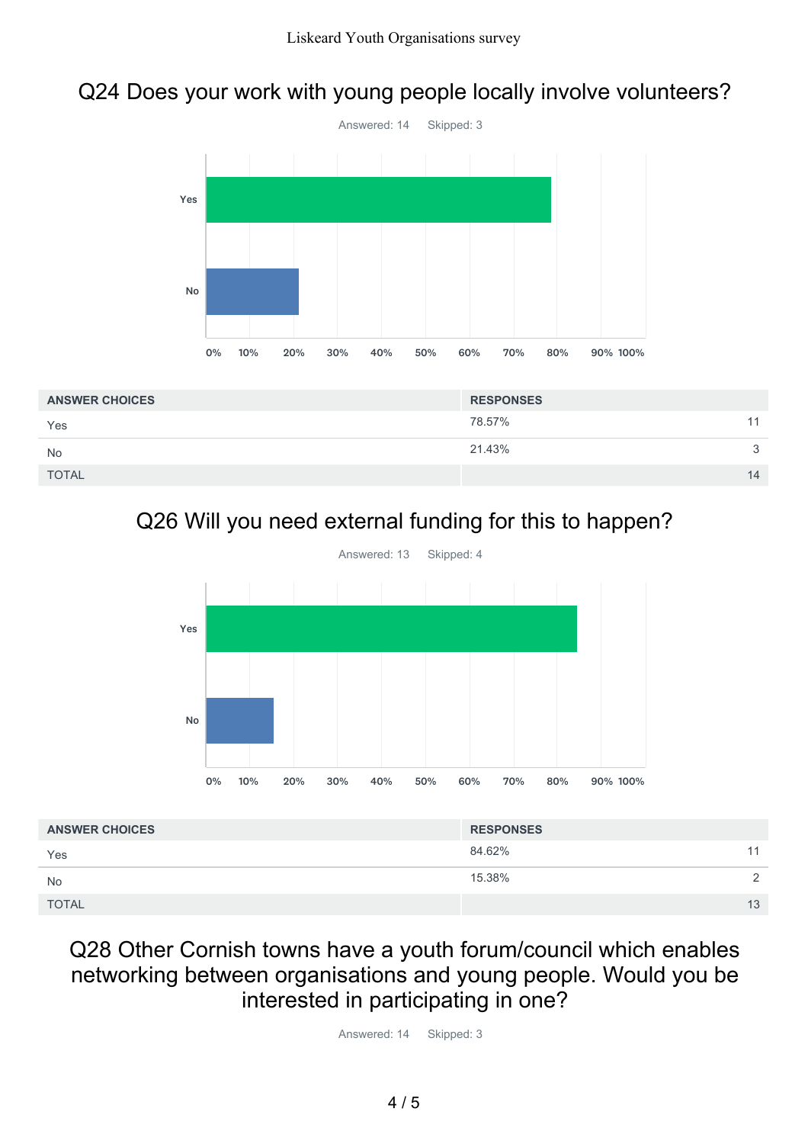### Q24 Does your work with young people locally involve volunteers?



| <b>ANSWER CHOICES</b> | <b>RESPONSES</b> |    |
|-----------------------|------------------|----|
| Yes                   | 78.57%           | 11 |
| <b>No</b>             | 21.43%           | 3  |
| <b>TOTAL</b>          |                  | 14 |

# Q26 Will you need external funding for this to happen?



| <b>ANSWER CHOICES</b> | <b>RESPONSES</b> |    |
|-----------------------|------------------|----|
| Yes                   | 84.62%           | 11 |
| <b>No</b>             | 15.38%           | ◠  |
| <b>TOTAL</b>          |                  | 13 |

#### Q28 Other Cornish towns have a youth forum/council which enables networking between organisations and young people. Would you be interested in participating in one?

Answered: 14 Skipped: 3